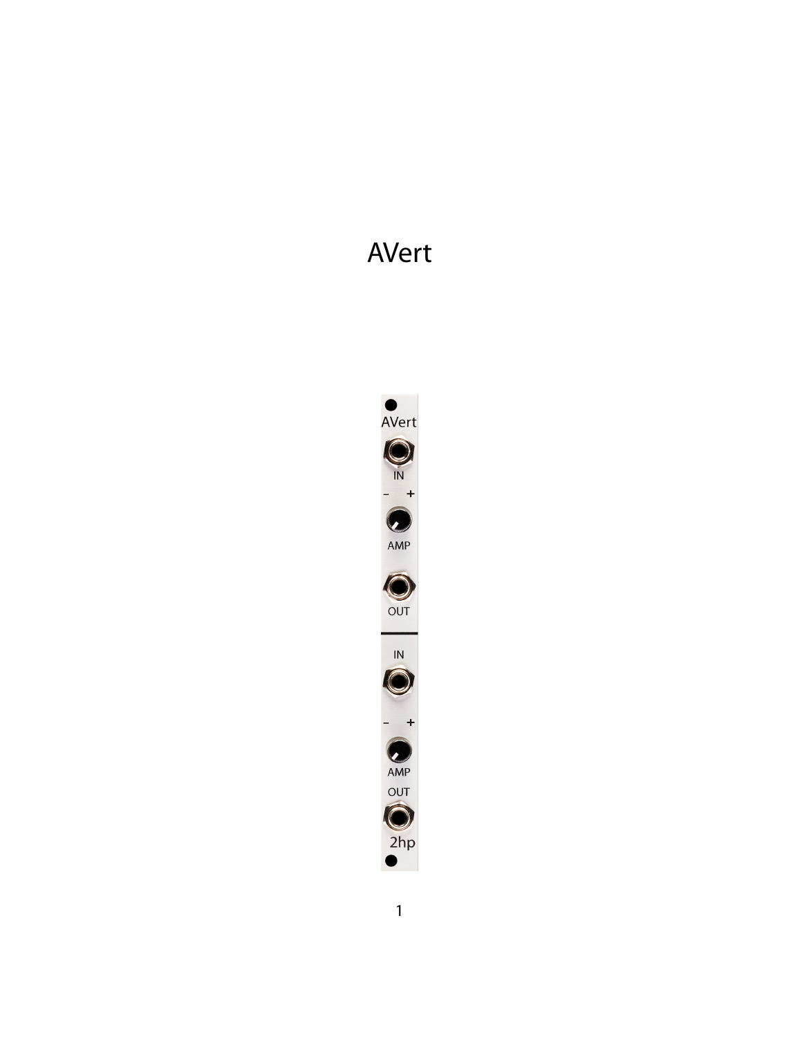# AVert

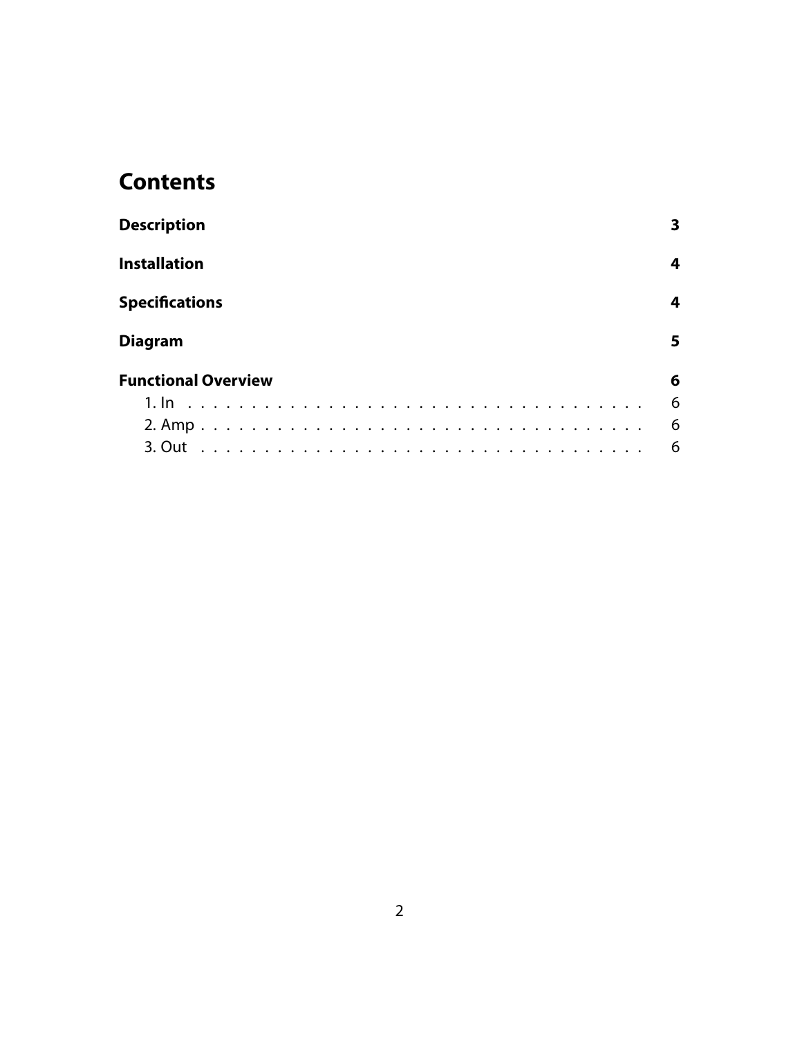## **Contents**

| <b>Description</b>         | 3  |
|----------------------------|----|
| <b>Installation</b>        | 4  |
| <b>Specifications</b>      | 4  |
| <b>Diagram</b>             | 5. |
| <b>Functional Overview</b> | 6  |
|                            | 6  |
|                            | 6  |
| 3. Out                     | 6  |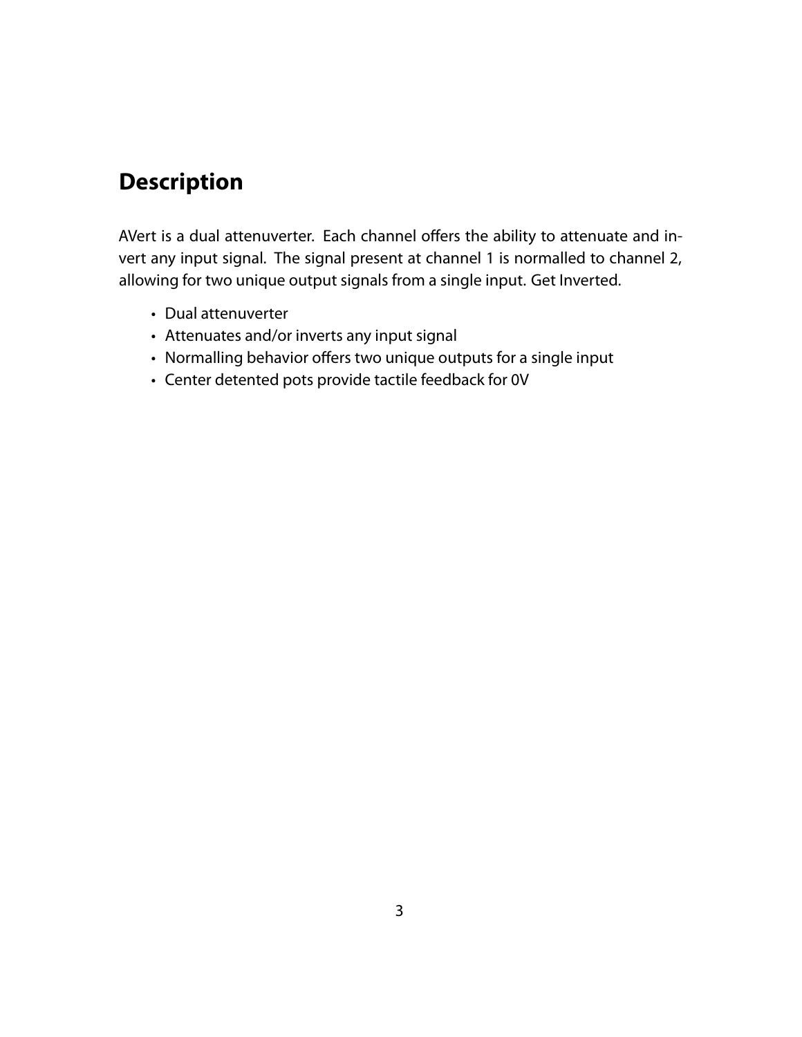## <span id="page-2-0"></span>**Description**

AVert is a dual attenuverter. Each channel offers the ability to attenuate and invert any input signal. The signal present at channel 1 is normalled to channel 2, allowing for two unique output signals from a single input. Get Inverted.

- Dual attenuverter
- Attenuates and/or inverts any input signal
- Normalling behavior offers two unique outputs for a single input
- Center detented pots provide tactile feedback for 0V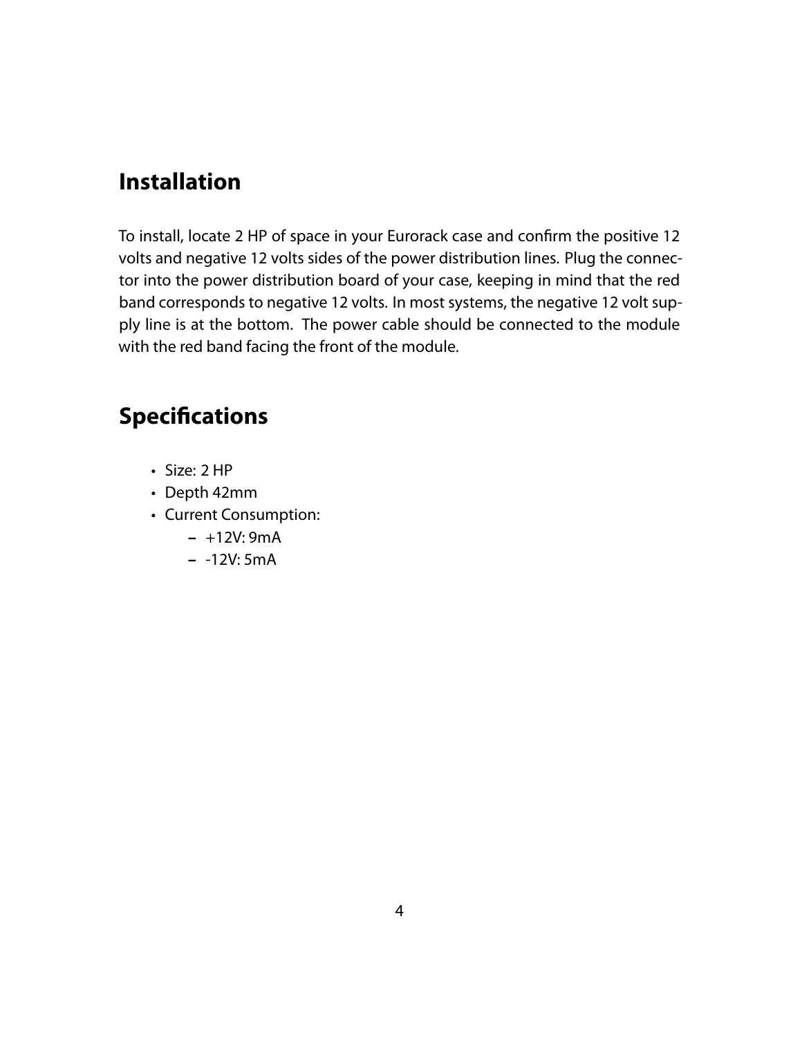## <span id="page-3-0"></span>**Installation**

To install, locate 2 HP of space in your Eurorack case and confirm the positive 12 volts and negative 12 volts sides of the power distribution lines. Plug the connector into the power distribution board of your case, keeping in mind that the red band corresponds to negative 12 volts. In most systems, the negative 12 volt supply line is at the bottom. The power cable should be connected to the module with the red band facing the front of the module.

## <span id="page-3-1"></span>**Specifications**

- Size: 2 HP
- Depth 42mm
- Current Consumption:
	- **–** +12V: 9mA
	- **–** -12V: 5mA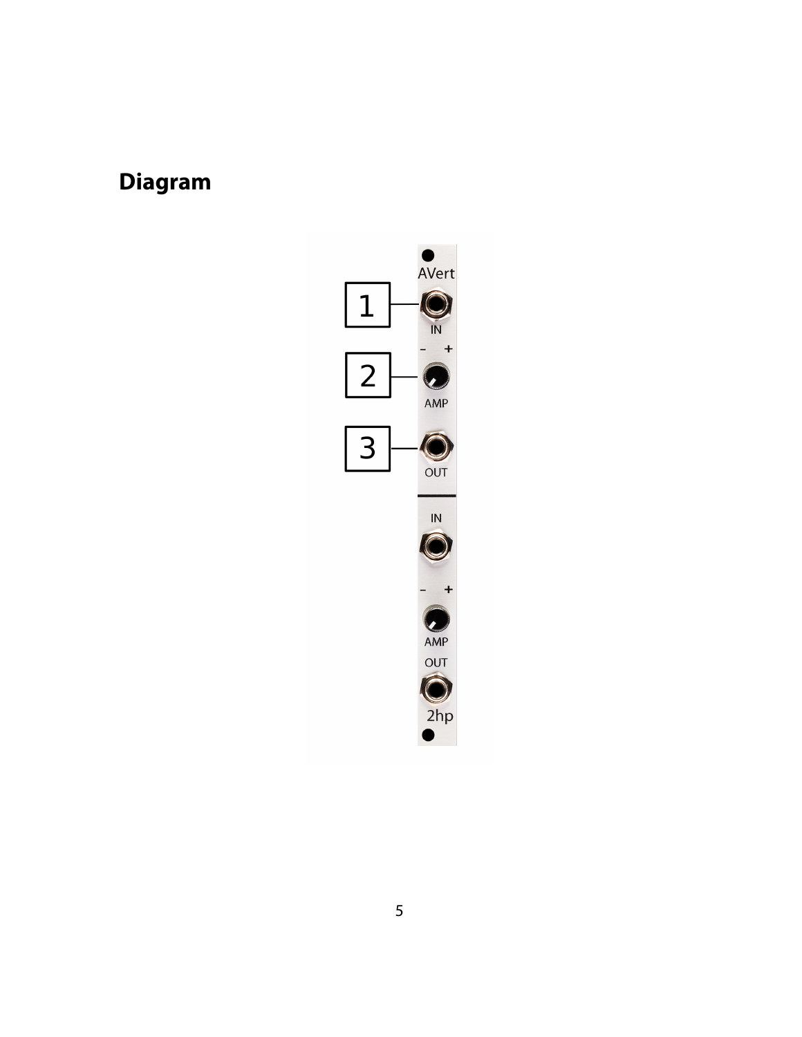## <span id="page-4-0"></span>**Diagram**